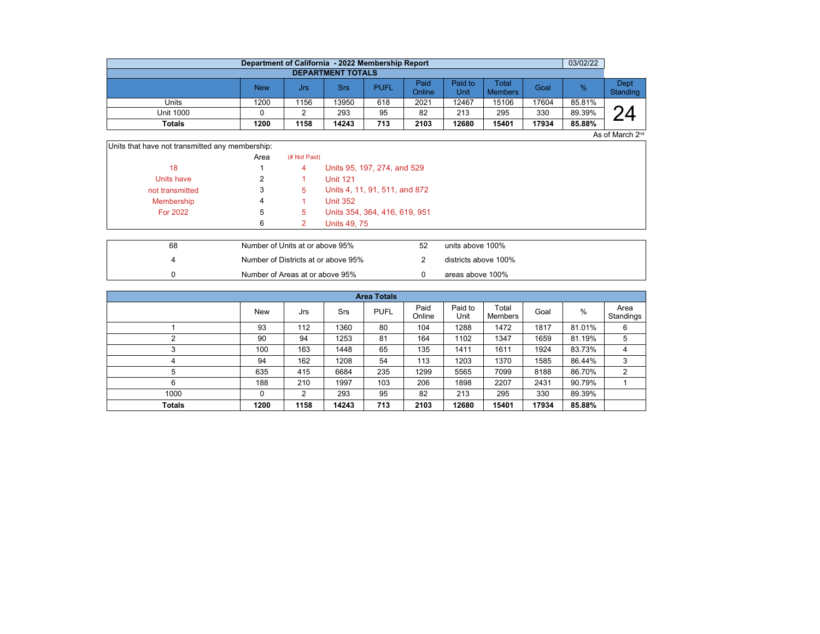|                          | Department of California - 2022 Membership Report |      |            |             |                |                        |                         |       | 03/02/22      |                  |  |  |  |
|--------------------------|---------------------------------------------------|------|------------|-------------|----------------|------------------------|-------------------------|-------|---------------|------------------|--|--|--|
| <b>DEPARTMENT TOTALS</b> |                                                   |      |            |             |                |                        |                         |       |               |                  |  |  |  |
|                          | New                                               | Jrs  | <b>Srs</b> | <b>PUFL</b> | Paid<br>Online | Paid to<br><b>Unit</b> | Total<br><b>Members</b> | Goal  | $\frac{0}{2}$ | Dept<br>Standing |  |  |  |
| Units                    | 1200                                              | 1156 | 13950      | 618         | 2021           | 12467                  | 15106                   | 17604 | 85.81%        |                  |  |  |  |
| <b>Unit 1000</b>         |                                                   |      | 293        | 95          | 82             | 213                    | 295                     | 330   | 89.39%        | $\bigcap$        |  |  |  |
| <b>Totals</b>            | 1200                                              | 1158 | 14243      | 713         | 2103           | 12680                  | 15401                   | 17934 | 85.88%        |                  |  |  |  |

As of March 2<sup>nd</sup>

| Units that have not transmitted any membership: |      |              |                               |
|-------------------------------------------------|------|--------------|-------------------------------|
|                                                 | Area | (# Not Paid) |                               |
| 18                                              |      | 4            | Units 95, 197, 274, and 529   |
| Units have                                      |      |              | <b>Unit 121</b>               |
| not transmitted                                 | 3    | 5.           | Units 4, 11, 91, 511, and 872 |
| Membership                                      | 4    |              | <b>Unit 352</b>               |
| <b>For 2022</b>                                 | 5    | 5            | Units 354, 364, 416, 619, 951 |
|                                                 | 6    |              | <b>Units 49, 75</b>           |

| 68 | Number of Units at or above 95%     | 52 | units above 100%     |
|----|-------------------------------------|----|----------------------|
|    | Number of Districts at or above 95% |    | districts above 100% |
|    | Number of Areas at or above 95%     |    | areas above 100%     |

| <b>Area Totals</b> |            |      |       |             |                |                 |                  |       |        |                   |  |  |  |
|--------------------|------------|------|-------|-------------|----------------|-----------------|------------------|-------|--------|-------------------|--|--|--|
|                    | <b>New</b> | Jrs  | Srs   | <b>PUFL</b> | Paid<br>Online | Paid to<br>Unit | Total<br>Members | Goal  | %      | Area<br>Standings |  |  |  |
|                    | 93         | 112  | 1360  | 80          | 104            | 1288            | 1472             | 1817  | 81.01% | 6                 |  |  |  |
|                    | 90         | 94   | 1253  | 81          | 164            | 1102            | 1347             | 1659  | 81.19% | 5                 |  |  |  |
| 3                  | 100        | 163  | 1448  | 65          | 135            | 1411            | 1611             | 1924  | 83.73% | 4                 |  |  |  |
| 4                  | 94         | 162  | 1208  | 54          | 113            | 1203            | 1370             | 1585  | 86.44% | 3                 |  |  |  |
| 5                  | 635        | 415  | 6684  | 235         | 1299           | 5565            | 7099             | 8188  | 86.70% | 2                 |  |  |  |
| 6                  | 188        | 210  | 1997  | 103         | 206            | 1898            | 2207             | 2431  | 90.79% |                   |  |  |  |
| 1000               | 0          | 2    | 293   | 95          | 82             | 213             | 295              | 330   | 89.39% |                   |  |  |  |
| <b>Totals</b>      | 1200       | 1158 | 14243 | 713         | 2103           | 12680           | 15401            | 17934 | 85.88% |                   |  |  |  |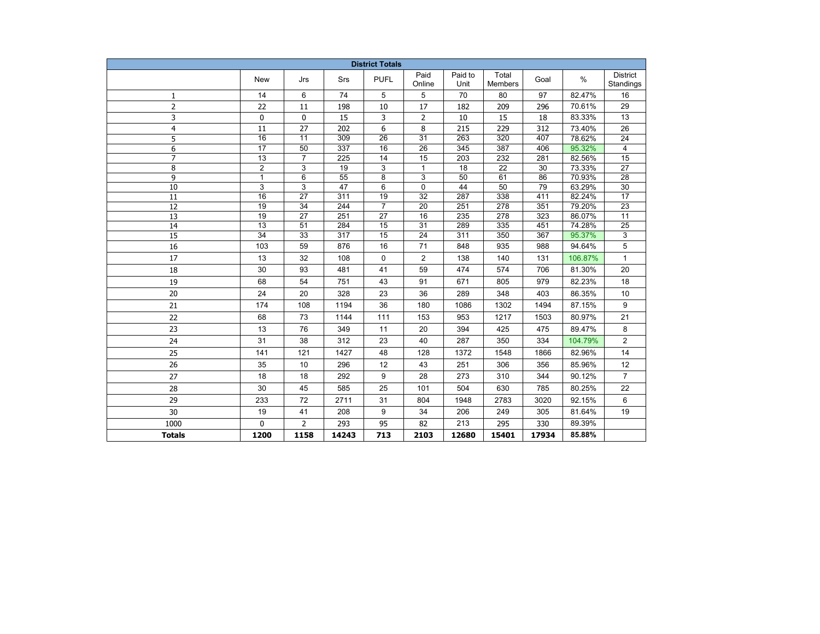| <b>District Totals</b> |                 |                 |       |                 |                 |                 |                         |       |         |                              |  |
|------------------------|-----------------|-----------------|-------|-----------------|-----------------|-----------------|-------------------------|-------|---------|------------------------------|--|
|                        | <b>New</b>      | Jrs             | Srs   | <b>PUFL</b>     | Paid<br>Online  | Paid to<br>Unit | Total<br><b>Members</b> | Goal  | $\%$    | <b>District</b><br>Standings |  |
| 1                      | 14              | 6               | 74    | 5               | 5               | 70              | 80                      | 97    | 82.47%  | 16                           |  |
| $\overline{2}$         | 22              | 11              | 198   | 10              | 17              | 182             | 209                     | 296   | 70.61%  | 29                           |  |
| 3                      | 0               | 0               | 15    | 3               | 2               | 10              | 15                      | 18    | 83.33%  | 13                           |  |
| $\overline{4}$         | 11              | 27              | 202   | 6               | 8               | 215             | 229                     | 312   | 73.40%  | 26                           |  |
| 5                      | $\overline{16}$ | $\overline{11}$ | 309   | $\overline{26}$ | $\overline{31}$ | 263             | $\overline{320}$        | 407   | 78.62%  | 24                           |  |
| 6                      | 17              | 50              | 337   | 16              | 26              | 345             | 387                     | 406   | 95.32%  | 4                            |  |
| $\overline{7}$         | 13              | $\overline{7}$  | 225   | 14              | 15              | 203             | 232                     | 281   | 82.56%  | 15                           |  |
| 8                      | $\overline{2}$  | 3               | 19    | 3               | $\mathbf{1}$    | 18              | $\overline{22}$         | 30    | 73.33%  | 27                           |  |
| 9                      | 1               | 6               | 55    | 8               | 3               | 50              | 61                      | 86    | 70.93%  | 28                           |  |
| 10                     | 3               | 3               | 47    | 6               | 0               | 44              | 50                      | 79    | 63.29%  | 30                           |  |
| 11                     | 16              | 27              | 311   | 19              | 32              | 287             | 338                     | 411   | 82.24%  | 17                           |  |
| 12                     | 19              | 34              | 244   | $\overline{7}$  | 20              | 251             | 278                     | 351   | 79.20%  | 23                           |  |
| 13                     | 19              | 27              | 251   | 27              | 16              | 235             | 278                     | 323   | 86.07%  | 11                           |  |
| 14                     | $\overline{13}$ | 51              | 284   | 15              | $\overline{31}$ | 289             | 335                     | 451   | 74.28%  | 25                           |  |
| $\overline{15}$        | $\overline{34}$ | 33              | 317   | 15              | 24              | 311             | 350                     | 367   | 95.37%  | 3                            |  |
| 16                     | 103             | 59              | 876   | 16              | 71              | 848             | 935                     | 988   | 94.64%  | 5                            |  |
| 17                     | 13              | 32              | 108   | $\mathbf 0$     | $\overline{2}$  | 138             | 140                     | 131   | 106.87% | $\mathbf{1}$                 |  |
| 18                     | 30              | 93              | 481   | 41              | 59              | 474             | 574                     | 706   | 81.30%  | 20                           |  |
| 19                     | 68              | 54              | 751   | 43              | 91              | 671             | 805                     | 979   | 82.23%  | 18                           |  |
| 20                     | 24              | 20              | 328   | 23              | 36              | 289             | 348                     | 403   | 86.35%  | 10                           |  |
| 21                     | 174             | 108             | 1194  | 36              | 180             | 1086            | 1302                    | 1494  | 87.15%  | 9                            |  |
| 22                     | 68              | 73              | 1144  | 111             | 153             | 953             | 1217                    | 1503  | 80.97%  | 21                           |  |
| 23                     | 13              | 76              | 349   | 11              | 20              | 394             | 425                     | 475   | 89.47%  | 8                            |  |
| 24                     | 31              | 38              | 312   | 23              | 40              | 287             | 350                     | 334   | 104.79% | 2                            |  |
| 25                     | 141             | 121             | 1427  | 48              | 128             | 1372            | 1548                    | 1866  | 82.96%  | 14                           |  |
| 26                     | 35              | 10              | 296   | 12              | 43              | 251             | 306                     | 356   | 85.96%  | 12                           |  |
| 27                     | 18              | 18              | 292   | 9               | 28              | 273             | 310                     | 344   | 90.12%  | $\overline{7}$               |  |
| 28                     | 30              | 45              | 585   | 25              | 101             | 504             | 630                     | 785   | 80.25%  | 22                           |  |
| 29                     | 233             | 72              | 2711  | 31              | 804             | 1948            | 2783                    | 3020  | 92.15%  | 6                            |  |
| 30                     | 19              | 41              | 208   | 9               | 34              | 206             | 249                     | 305   | 81.64%  | 19                           |  |
| 1000                   | $\Omega$        | $\overline{2}$  | 293   | 95              | 82              | 213             | 295                     | 330   | 89.39%  |                              |  |
| <b>Totals</b>          | 1200            | 1158            | 14243 | 713             | 2103            | 12680           | 15401                   | 17934 | 85.88%  |                              |  |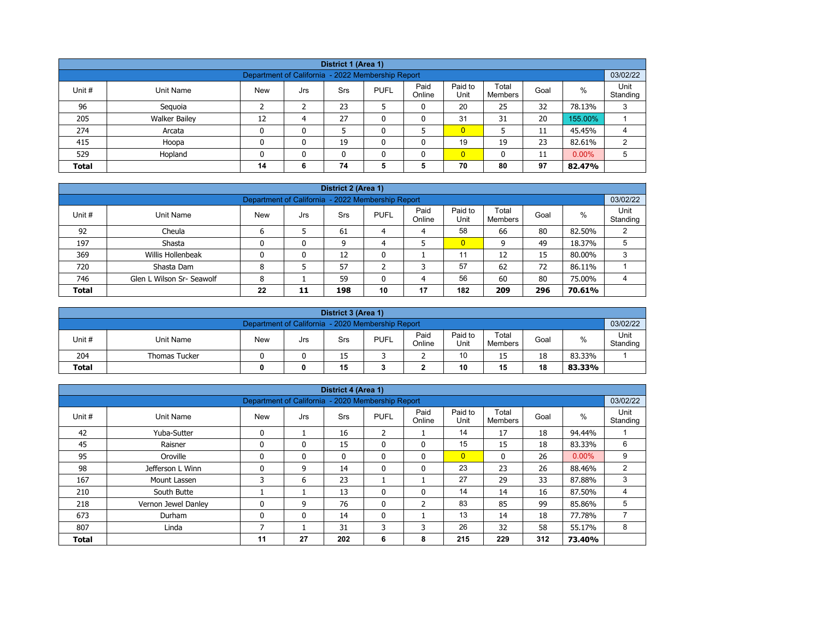| District 1 (Area 1)                                           |                                                                                                                                                         |    |   |    |   |   |                |    |    |         |   |  |  |  |
|---------------------------------------------------------------|---------------------------------------------------------------------------------------------------------------------------------------------------------|----|---|----|---|---|----------------|----|----|---------|---|--|--|--|
| 03/02/22<br>Department of California - 2022 Membership Report |                                                                                                                                                         |    |   |    |   |   |                |    |    |         |   |  |  |  |
| Unit #                                                        | Paid<br>Paid to<br>Total<br>$\%$<br><b>PUFL</b><br>Goal<br>Unit Name<br><b>New</b><br><b>Srs</b><br>Jrs<br>Online<br>Unit<br>Standing<br><b>Members</b> |    |   |    |   |   |                |    |    |         |   |  |  |  |
| 96                                                            | Seguoia                                                                                                                                                 |    |   | 23 |   | 0 | 20             | 25 | 32 | 78.13%  | 3 |  |  |  |
| 205                                                           | <b>Walker Bailey</b>                                                                                                                                    | 12 | 4 | 27 | ۵ | 0 | 31             | 31 | 20 | 155.00% |   |  |  |  |
| 274                                                           | Arcata                                                                                                                                                  | 0  | 0 |    |   |   | $\overline{0}$ |    | 11 | 45.45%  | 4 |  |  |  |
| 415                                                           | Hoopa                                                                                                                                                   | 0  | 0 | 19 |   | 0 | 19             | 19 | 23 | 82.61%  | 2 |  |  |  |
| 529                                                           | $\overline{0}$<br>$0.00\%$<br>Hopland<br>0<br>5<br>$\mathbf{0}$<br>11<br>n<br>0                                                                         |    |   |    |   |   |                |    |    |         |   |  |  |  |
| <b>Total</b>                                                  |                                                                                                                                                         | 14 | 6 | 74 | 5 | 5 | 70             | 80 | 97 | 82.47%  |   |  |  |  |

| District 2 (Area 1) |                                                                            |            |     |            |             |                |                 |                  |      |        |                  |  |  |  |
|---------------------|----------------------------------------------------------------------------|------------|-----|------------|-------------|----------------|-----------------|------------------|------|--------|------------------|--|--|--|
|                     | 03/02/22<br>Department of California - 2022 Membership Report              |            |     |            |             |                |                 |                  |      |        |                  |  |  |  |
| Unit #              | Unit Name                                                                  | <b>New</b> | Jrs | <b>Srs</b> | <b>PUFL</b> | Paid<br>Online | Paid to<br>Unit | Total<br>Members | Goal | $\%$   | Unit<br>Standing |  |  |  |
| 92                  | Cheula                                                                     |            |     | 61         | 4           | 4              | 58              | 66               | 80   | 82.50% |                  |  |  |  |
| 197                 | Shasta                                                                     |            | 0   | 9          | 4           |                | $\overline{0}$  | 9                | 49   | 18.37% |                  |  |  |  |
| 369                 | Willis Hollenbeak                                                          |            | 0   | 12         |             |                | 11              | 12               | 15   | 80.00% | 3                |  |  |  |
| 720                 | Shasta Dam                                                                 | 8          |     | 57         |             | っ              | 57              | 62               | 72   | 86.11% |                  |  |  |  |
| 746                 | 56<br>80<br>Glen L Wilson Sr- Seawolf<br>60<br>59<br>75.00%<br>8<br>4<br>4 |            |     |            |             |                |                 |                  |      |        |                  |  |  |  |
| <b>Total</b>        | 182<br>22<br>10<br>17<br>296<br>209<br>198<br>70.61%<br>11                 |            |     |            |             |                |                 |                  |      |        |                  |  |  |  |

|                                                     | District 3 (Area 1)                                           |            |     |     |             |                |                 |                         |      |        |                  |  |  |  |
|-----------------------------------------------------|---------------------------------------------------------------|------------|-----|-----|-------------|----------------|-----------------|-------------------------|------|--------|------------------|--|--|--|
|                                                     | 03/02/22<br>Department of California - 2020 Membership Report |            |     |     |             |                |                 |                         |      |        |                  |  |  |  |
| Unit #                                              | Unit Name                                                     | <b>New</b> | Jrs | Srs | <b>PUFL</b> | Paid<br>Online | Paid to<br>Unit | Total<br><b>Members</b> | Goal | %      | Unit<br>Standing |  |  |  |
| 204                                                 | <b>Thomas Tucker</b>                                          |            |     | 15  |             | -              | 10              | 15                      | 18   | 83.33% |                  |  |  |  |
| 15<br>10<br>18<br><b>Total</b><br>15<br>83.33%<br>0 |                                                               |            |     |     |             |                |                 |                         |      |        |                  |  |  |  |

|              |                     |                                                   |     | District 4 (Area 1) |                |                |                 |                  |      |          |                  |
|--------------|---------------------|---------------------------------------------------|-----|---------------------|----------------|----------------|-----------------|------------------|------|----------|------------------|
|              |                     | Department of California - 2020 Membership Report |     |                     |                |                |                 |                  |      |          | 03/02/22         |
| Unit #       | <b>Unit Name</b>    | <b>New</b>                                        | Jrs | Srs                 | <b>PUFL</b>    | Paid<br>Online | Paid to<br>Unit | Total<br>Members | Goal | $\%$     | Unit<br>Standing |
| 42           | Yuba-Sutter         | $\mathbf{0}$                                      |     | 16                  | $\overline{2}$ |                | 14              | 17               | 18   | 94.44%   |                  |
| 45           | Raisner             | $\mathbf{0}$                                      | 0   | 15                  | 0              | $\mathbf{0}$   | 15              | 15               | 18   | 83.33%   | 6                |
| 95           | Oroville            | $\mathbf{0}$                                      | 0   | $\mathbf{0}$        | $\mathbf{0}$   | $\mathbf{0}$   | $\overline{0}$  | $\mathbf{0}$     | 26   | $0.00\%$ | 9                |
| 98           | Jefferson L Winn    | $\Omega$                                          | 9   | 14                  | 0              | 0              | 23              | 23               | 26   | 88.46%   | $\overline{2}$   |
| 167          | Mount Lassen        | 3                                                 | 6   | 23                  |                |                | 27              | 29               | 33   | 87.88%   | 3                |
| 210          | South Butte         |                                                   |     | 13                  | $\mathbf{0}$   | $\mathbf{0}$   | 14              | 14               | 16   | 87.50%   | 4                |
| 218          | Vernon Jewel Danley |                                                   | 9   | 76                  | 0              | 2              | 83              | 85               | 99   | 85.86%   | 5                |
| 673          | Durham              | $\mathbf{0}$                                      | 0   | 14                  | 0              |                | 13              | 14               | 18   | 77.78%   | 7                |
| 807          | Linda               |                                                   |     | 31                  | 3              | 3              | 26              | 32               | 58   | 55.17%   | 8                |
| <b>Total</b> |                     | 11                                                | 27  | 202                 | 6              | 8              | 215             | 229              | 312  | 73.40%   |                  |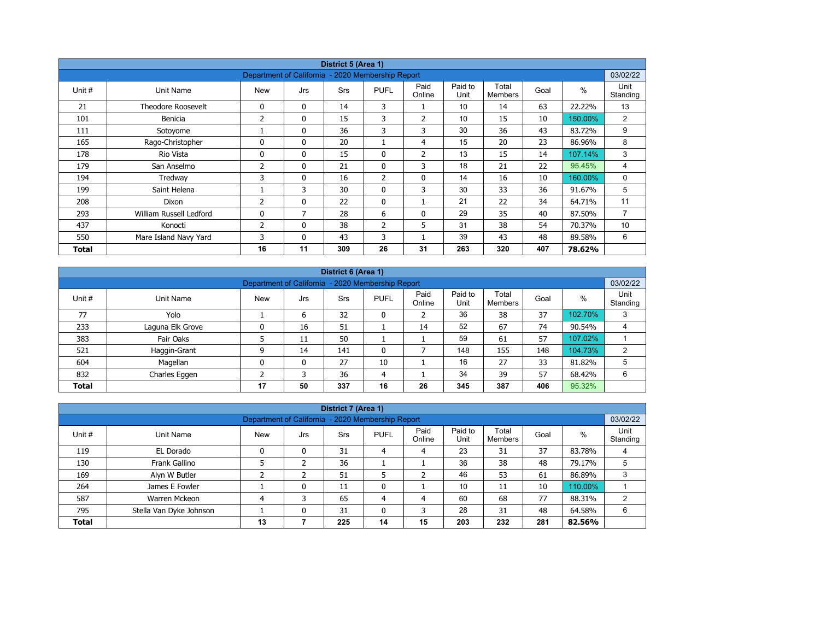|        | District 5 (Area 1)       |                                                   |              |            |                |                |                 |                         |      |         |                  |  |  |  |
|--------|---------------------------|---------------------------------------------------|--------------|------------|----------------|----------------|-----------------|-------------------------|------|---------|------------------|--|--|--|
|        |                           | Department of California - 2020 Membership Report |              |            |                |                |                 |                         |      |         | 03/02/22         |  |  |  |
| Unit # | Unit Name                 | <b>New</b>                                        | Jrs          | <b>Srs</b> | <b>PUFL</b>    | Paid<br>Online | Paid to<br>Unit | Total<br><b>Members</b> | Goal | $\%$    | Unit<br>Standing |  |  |  |
| 21     | <b>Theodore Roosevelt</b> | 0                                                 | $\mathbf{0}$ | 14         | 3              |                | 10              | 14                      | 63   | 22.22%  | 13               |  |  |  |
| 101    | Benicia                   | 2                                                 | 0            | 15         | 3              | $\overline{2}$ | 10              | 15                      | 10   | 150.00% | $\overline{2}$   |  |  |  |
| 111    | Sotoyome                  |                                                   | $\mathbf{0}$ | 36         | 3              | 3              | 30              | 36                      | 43   | 83.72%  | 9                |  |  |  |
| 165    | Rago-Christopher          | $\Omega$                                          | $\mathbf{0}$ | 20         |                | 4              | 15              | 20                      | 23   | 86.96%  | 8                |  |  |  |
| 178    | Rio Vista                 | 0                                                 | $\mathbf{0}$ | 15         | 0              | 2              | 13              | 15                      | 14   | 107.14% | 3                |  |  |  |
| 179    | San Anselmo               | 2                                                 | $\mathbf{0}$ | 21         | $\mathbf{0}$   | 3              | 18              | 21                      | 22   | 95.45%  | 4                |  |  |  |
| 194    | Tredway                   | 3                                                 | 0            | 16         | $\overline{2}$ | $\mathbf 0$    | 14              | 16                      | 10   | 160.00% | 0                |  |  |  |
| 199    | Saint Helena              |                                                   | 3            | 30         | $\mathbf{0}$   | 3              | 30              | 33                      | 36   | 91.67%  | 5                |  |  |  |
| 208    | Dixon                     | 2                                                 | 0            | 22         | $\mathbf{0}$   |                | 21              | 22                      | 34   | 64.71%  | 11               |  |  |  |
| 293    | William Russell Ledford   | 0                                                 | 7            | 28         | 6              | 0              | 29              | 35                      | 40   | 87.50%  | $\overline{7}$   |  |  |  |
| 437    | Konocti                   | 2                                                 | $\mathbf{0}$ | 38         | $\overline{2}$ | 5              | 31              | 38                      | 54   | 70.37%  | 10               |  |  |  |
| 550    | Mare Island Navy Yard     | 3                                                 | $\mathbf{0}$ | 43         | 3              |                | 39              | 43                      | 48   | 89.58%  | 6                |  |  |  |
| Total  |                           | 16                                                | 11           | 309        | 26             | 31             | 263             | 320                     | 407  | 78.62%  |                  |  |  |  |

|              | District 6 (Area 1)                                           |            |     |            |              |                |                 |                         |      |         |                  |  |  |  |
|--------------|---------------------------------------------------------------|------------|-----|------------|--------------|----------------|-----------------|-------------------------|------|---------|------------------|--|--|--|
|              | 03/02/22<br>Department of California - 2020 Membership Report |            |     |            |              |                |                 |                         |      |         |                  |  |  |  |
| Unit #       | Unit Name                                                     | <b>New</b> | Jrs | <b>Srs</b> | <b>PUFL</b>  | Paid<br>Online | Paid to<br>Unit | Total<br><b>Members</b> | Goal | %       | Unit<br>Standing |  |  |  |
| 77           | Yolo                                                          |            | 6   | 32         | 0            |                | 36              | 38                      | 37   | 102.70% | 3                |  |  |  |
| 233          | Laguna Elk Grove                                              |            | 16  | 51         |              | 14             | 52              | 67                      | 74   | 90.54%  | 4                |  |  |  |
| 383          | Fair Oaks                                                     |            | 11  | 50         |              |                | 59              | 61                      | 57   | 107.02% |                  |  |  |  |
| 521          | Haggin-Grant                                                  | ٩          | 14  | 141        | $\mathbf{0}$ |                | 148             | 155                     | 148  | 104.73% | $\overline{2}$   |  |  |  |
| 604          | Magellan                                                      | $\Omega$   | 0   | 27         | 10           |                | 16              | 27                      | 33   | 81.82%  | 5                |  |  |  |
| 832          | Charles Eggen                                                 |            | 3   | 36         | 4            |                | 34              | 39                      | 57   | 68.42%  | 6                |  |  |  |
| <b>Total</b> |                                                               | 17         | 50  | 337        | 16           | 26             | 345             | 387                     | 406  | 95.32%  |                  |  |  |  |

|              |                         |                                                   |     | District 7 (Area 1) |             |                |                 |                  |      |         |                  |
|--------------|-------------------------|---------------------------------------------------|-----|---------------------|-------------|----------------|-----------------|------------------|------|---------|------------------|
|              |                         | Department of California - 2020 Membership Report |     |                     |             |                |                 |                  |      |         | 03/02/22         |
| Unit #       | Unit Name               | <b>New</b>                                        | Jrs | <b>Srs</b>          | <b>PUFL</b> | Paid<br>Online | Paid to<br>Unit | Total<br>Members | Goal | $\%$    | Unit<br>Standing |
| 119          | EL Dorado               | 0                                                 | 0   | 31                  | 4           | 4              | 23              | 31               | 37   | 83.78%  |                  |
| 130          | Frank Gallino           |                                                   |     | 36                  |             |                | 36              | 38               | 48   | 79.17%  | 5                |
| 169          | Alyn W Butler           |                                                   |     | 51                  |             |                | 46              | 53               | 61   | 86.89%  | 3                |
| 264          | James E Fowler          |                                                   | 0   | 11                  | 0           |                | 10              | 11               | 10   | 110.00% |                  |
| 587          | Warren Mckeon           |                                                   | 3   | 65                  | 4           | 4              | 60              | 68               | 77   | 88.31%  | ົ                |
| 795          | Stella Van Dyke Johnson |                                                   | 0   | 31                  | 0           | 3              | 28              | 31               | 48   | 64.58%  | 6                |
| <b>Total</b> |                         | 13                                                |     | 225                 | 14          | 15             | 203             | 232              | 281  | 82.56%  |                  |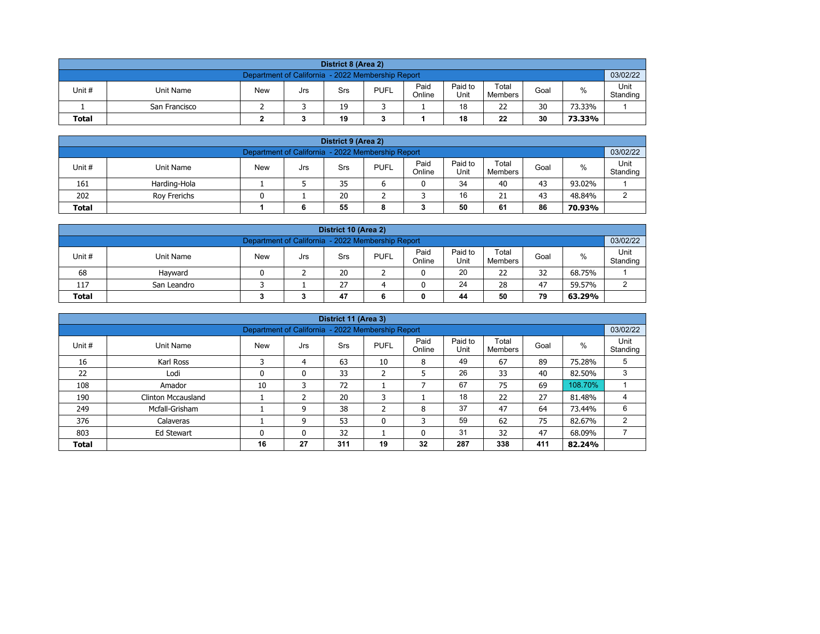| District 8 (Area 2)                                                                                                                                     |                                                               |  |  |    |  |  |    |    |    |        |  |  |  |  |
|---------------------------------------------------------------------------------------------------------------------------------------------------------|---------------------------------------------------------------|--|--|----|--|--|----|----|----|--------|--|--|--|--|
|                                                                                                                                                         | 03/02/22<br>Department of California - 2022 Membership Report |  |  |    |  |  |    |    |    |        |  |  |  |  |
| Paid<br>Paid to<br>Total<br><b>PUFL</b><br>%<br>Unit #<br>Unit Name<br><b>New</b><br>Goal<br>Srs<br>Jrs<br>Unit<br>Online<br>Standing<br><b>Members</b> |                                                               |  |  |    |  |  |    |    |    |        |  |  |  |  |
|                                                                                                                                                         | San Francisco                                                 |  |  | 19 |  |  | 18 | 22 | 30 | 73.33% |  |  |  |  |
| <b>Total</b>                                                                                                                                            | 22<br>30<br>19<br>18<br>73.33%                                |  |  |    |  |  |    |    |    |        |  |  |  |  |

| District 9 (Area 2)                                                                                                                              |              |  |  |    |  |  |    |    |    |        |   |  |  |
|--------------------------------------------------------------------------------------------------------------------------------------------------|--------------|--|--|----|--|--|----|----|----|--------|---|--|--|
| 03/02/22<br>Department of California - 2022 Membership Report                                                                                    |              |  |  |    |  |  |    |    |    |        |   |  |  |
| Paid<br>Paid to<br>Total<br>Unit #<br><b>PUFL</b><br>%<br><b>New</b><br>Unit Name<br>Goal<br>Srs<br>Jrs<br>Standing<br>Online<br>Unit<br>Members |              |  |  |    |  |  |    |    |    |        |   |  |  |
| 161                                                                                                                                              | Harding-Hola |  |  | 35 |  |  | 34 | 40 | 43 | 93.02% |   |  |  |
| 202                                                                                                                                              | Rov Frerichs |  |  | 20 |  |  | 16 | 21 | 43 | 48.84% | ົ |  |  |
| 50<br>86<br>55<br>61<br>70.93%<br><b>Total</b><br>6<br>8                                                                                         |              |  |  |    |  |  |    |    |    |        |   |  |  |

| District 10 (Area 2)                                                                                                                             |                                                    |  |  |    |  |  |    |    |    |        |  |  |  |
|--------------------------------------------------------------------------------------------------------------------------------------------------|----------------------------------------------------|--|--|----|--|--|----|----|----|--------|--|--|--|
| 03/02/22<br>Department of California - 2022 Membership Report                                                                                    |                                                    |  |  |    |  |  |    |    |    |        |  |  |  |
| Paid<br>Paid to<br>Total<br>%<br>Unit #<br><b>PUFL</b><br>Unit Name<br><b>New</b><br>Goal<br>Srs<br>Jrs<br>Standing<br>Online<br>Unit<br>Members |                                                    |  |  |    |  |  |    |    |    |        |  |  |  |
| 68                                                                                                                                               | Havward                                            |  |  | 20 |  |  | 20 | 22 | 32 | 68.75% |  |  |  |
| 117                                                                                                                                              | 24<br>27<br>47<br>28<br>59.57%<br>ົ<br>San Leandro |  |  |    |  |  |    |    |    |        |  |  |  |
| 79<br><b>Total</b><br>47<br>44<br>50<br>63.29%                                                                                                   |                                                    |  |  |    |  |  |    |    |    |        |  |  |  |

|                                                                               |                           |                                                   |     | District 11 (Area 3) |                   |                |                 |                  |      |         |                  |
|-------------------------------------------------------------------------------|---------------------------|---------------------------------------------------|-----|----------------------|-------------------|----------------|-----------------|------------------|------|---------|------------------|
|                                                                               |                           | Department of California - 2022 Membership Report |     |                      |                   |                |                 |                  |      |         | 03/02/22         |
| Unit #                                                                        | Unit Name                 | <b>New</b>                                        | Jrs | <b>Srs</b>           | <b>PUFL</b>       | Paid<br>Online | Paid to<br>Unit | Total<br>Members | Goal | $\%$    | Unit<br>Standing |
| 16                                                                            | Karl Ross                 | C                                                 | 4   | 63                   | 10                | 8              | 49              | 67               | 89   | 75.28%  | 5                |
| 22                                                                            | Lodi                      | 0                                                 | 0   | 33                   | h<br>∠            | 5              | 26              | 33               | 40   | 82.50%  | 3                |
| 108                                                                           | Amador                    | 10                                                | 3   | 72                   |                   |                | 67              | 75               | 69   | 108.70% |                  |
| 190                                                                           | <b>Clinton Mccausland</b> |                                                   |     | 20                   | 3                 |                | 18              | 22               | 27   | 81.48%  |                  |
| 249                                                                           | Mcfall-Grisham            |                                                   | 9   | 38                   | $\mathbf{r}$<br>∠ | 8              | 37              | 47               | 64   | 73.44%  | 6                |
| 376                                                                           | Calaveras                 |                                                   | 9   | 53                   | $\mathbf{0}$      | 3              | 59              | 62               | 75   | 82.67%  | $\overline{2}$   |
| 32<br>31<br>47<br>803<br>32<br>68.09%<br>Ed Stewart<br>$\mathbf{0}$<br>0<br>0 |                           |                                                   |     |                      |                   |                |                 |                  |      |         |                  |
| <b>Total</b>                                                                  |                           | 16                                                | 27  | 311                  | 19                | 32             | 287             | 338              | 411  | 82.24%  |                  |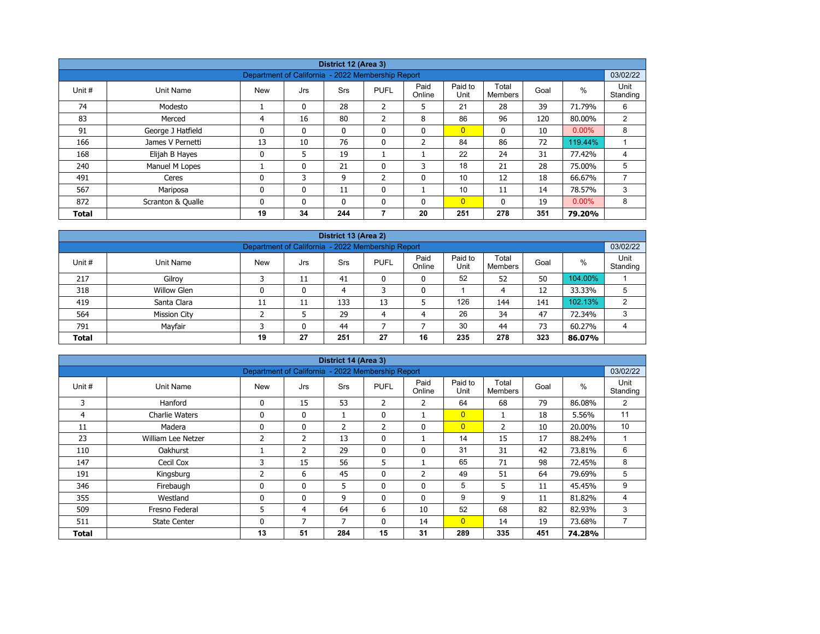| District 12 (Area 3) |                   |                                                   |              |              |                |                |                 |                         |      |          |                  |  |  |
|----------------------|-------------------|---------------------------------------------------|--------------|--------------|----------------|----------------|-----------------|-------------------------|------|----------|------------------|--|--|
|                      |                   | Department of California - 2022 Membership Report |              |              |                |                |                 |                         |      |          | 03/02/22         |  |  |
| Unit #               | Unit Name         | <b>New</b>                                        | Jrs          | <b>Srs</b>   | <b>PUFL</b>    | Paid<br>Online | Paid to<br>Unit | Total<br><b>Members</b> | Goal | %        | Unit<br>Standing |  |  |
| 74                   | Modesto           |                                                   | $\mathbf{0}$ | 28           | $\overline{2}$ | 5              | 21              | 28                      | 39   | 71.79%   | 6                |  |  |
| 83                   | Merced            | 4                                                 | 16           | 80           | 2              | 8              | 86              | 96                      | 120  | 80.00%   | 2                |  |  |
| 91                   | George J Hatfield | 0                                                 | 0            | $\mathbf{0}$ | 0              | $\mathbf{0}$   | $\overline{0}$  | $\mathbf{0}$            | 10   | $0.00\%$ | 8                |  |  |
| 166                  | James V Pernetti  | 13                                                | 10           | 76           | 0              | $\overline{2}$ | 84              | 86                      | 72   | 119.44%  |                  |  |  |
| 168                  | Elijah B Hayes    | $\mathbf 0$                                       | 5            | 19           |                |                | 22              | 24                      | 31   | 77.42%   | 4                |  |  |
| 240                  | Manuel M Lopes    |                                                   | 0            | 21           | 0              | 3              | 18              | 21                      | 28   | 75.00%   | 5                |  |  |
| 491                  | Ceres             | $\mathbf{0}$                                      | 3            | 9            | $\overline{2}$ | $\mathbf{0}$   | 10              | 12                      | 18   | 66.67%   |                  |  |  |
| 567                  | Mariposa          | 0                                                 | 0            | 11           | 0              |                | 10              | 11                      | 14   | 78.57%   | 3                |  |  |
| 872                  | Scranton & Qualle | $\mathbf{0}$                                      | $\mathbf{0}$ | $\mathbf{0}$ | $\mathbf{0}$   | $\mathbf{0}$   | $\overline{0}$  | $\mathbf{0}$            | 19   | $0.00\%$ | 8                |  |  |
| <b>Total</b>         |                   | 19                                                | 34           | 244          | 7              | 20             | 251             | 278                     | 351  | 79.20%   |                  |  |  |

| District 13 (Area 2) |                                                                                                                                                  |    |    |     |    |    |     |     |     |         |   |  |  |  |  |
|----------------------|--------------------------------------------------------------------------------------------------------------------------------------------------|----|----|-----|----|----|-----|-----|-----|---------|---|--|--|--|--|
|                      | 03/02/22<br>Department of California - 2022 Membership Report                                                                                    |    |    |     |    |    |     |     |     |         |   |  |  |  |  |
| Unit #               | Paid<br>Paid to<br>Total<br>$\%$<br><b>PUFL</b><br><b>New</b><br>Unit Name<br><b>Srs</b><br>Goal<br>Jrs<br>Unit<br>Online<br>Standing<br>Members |    |    |     |    |    |     |     |     |         |   |  |  |  |  |
| 217                  | Gilroy                                                                                                                                           |    | 11 | 41  | 0  | 0  | 52  | 52  | 50  | 104.00% |   |  |  |  |  |
| 318                  | Willow Glen                                                                                                                                      | 0  | 0  | 4   |    | 0  |     | 4   | 12  | 33.33%  | 5 |  |  |  |  |
| 419                  | Santa Clara                                                                                                                                      | 11 | 11 | 133 | 13 |    | 126 | 144 | 141 | 102.13% | C |  |  |  |  |
| 564                  | <b>Mission City</b>                                                                                                                              |    |    | 29  | 4  | 4  | 26  | 34  | 47  | 72.34%  | 3 |  |  |  |  |
| 791                  | 30<br>73<br>Mayfair<br>44<br>60.27%<br>0<br>44                                                                                                   |    |    |     |    |    |     |     |     |         |   |  |  |  |  |
| <b>Total</b>         |                                                                                                                                                  | 19 | 27 | 251 | 27 | 16 | 235 | 278 | 323 | 86.07%  |   |  |  |  |  |

|              |                                                                                   |                |                | District 14 (Area 3) |              |                |                |                |      |        |                  |  |  |  |
|--------------|-----------------------------------------------------------------------------------|----------------|----------------|----------------------|--------------|----------------|----------------|----------------|------|--------|------------------|--|--|--|
|              | 03/02/22<br>Department of California - 2022 Membership Report<br>Paid to<br>Total |                |                |                      |              |                |                |                |      |        |                  |  |  |  |
| Unit #       | Unit Name                                                                         | <b>New</b>     | Jrs            | Srs                  | <b>PUFL</b>  | Paid<br>Online | Unit           | <b>Members</b> | Goal | $\%$   | Unit<br>Standing |  |  |  |
| 3            | Hanford                                                                           | 0              | 15             | 53                   | 2            | $\overline{2}$ | 64             | 68             | 79   | 86.08% | 2                |  |  |  |
| 4            | <b>Charlie Waters</b>                                                             | 0              | $\mathbf{0}$   | 1                    | $\mathbf{0}$ |                | $\overline{0}$ |                | 18   | 5.56%  | 11               |  |  |  |
| 11           | Madera                                                                            | 0              | 0              | $\overline{2}$       | 2            | $\mathbf 0$    | $\overline{0}$ | 2              | 10   | 20.00% | 10               |  |  |  |
| 23           | William Lee Netzer                                                                | $\overline{2}$ | $\overline{2}$ | 13                   | $\mathbf{0}$ |                | 14             | 15             | 17   | 88.24% |                  |  |  |  |
| 110          | Oakhurst                                                                          |                | $\overline{2}$ | 29                   | $\mathbf{0}$ | $\mathbf{0}$   | 31             | 31             | 42   | 73.81% | 6                |  |  |  |
| 147          | Cecil Cox                                                                         | 3              | 15             | 56                   | 5            |                | 65             | 71             | 98   | 72.45% | 8                |  |  |  |
| 191          | Kingsburg                                                                         | 2              | 6              | 45                   | 0            | $\overline{2}$ | 49             | 51             | 64   | 79.69% | 5                |  |  |  |
| 346          | Firebaugh                                                                         | 0              | 0              | 5                    | 0            | $\mathbf 0$    | 5              | 5              | 11   | 45.45% | 9                |  |  |  |
| 355          | Westland                                                                          | 0              | $\mathbf{0}$   | 9                    | $\mathbf{0}$ | $\mathbf{0}$   | 9              | 9              | 11   | 81.82% | 4                |  |  |  |
| 509          | Fresno Federal                                                                    | 5              | 4              | 64                   | 6            | 10             | 52             | 68             | 82   | 82.93% | 3                |  |  |  |
| 511          | <b>State Center</b>                                                               | 0              | 7              | 7                    | $\mathbf{0}$ | 14             | $\overline{0}$ | 14             | 19   | 73.68% |                  |  |  |  |
| <b>Total</b> |                                                                                   | 13             | 51             | 284                  | 15           | 31             | 289            | 335            | 451  | 74.28% |                  |  |  |  |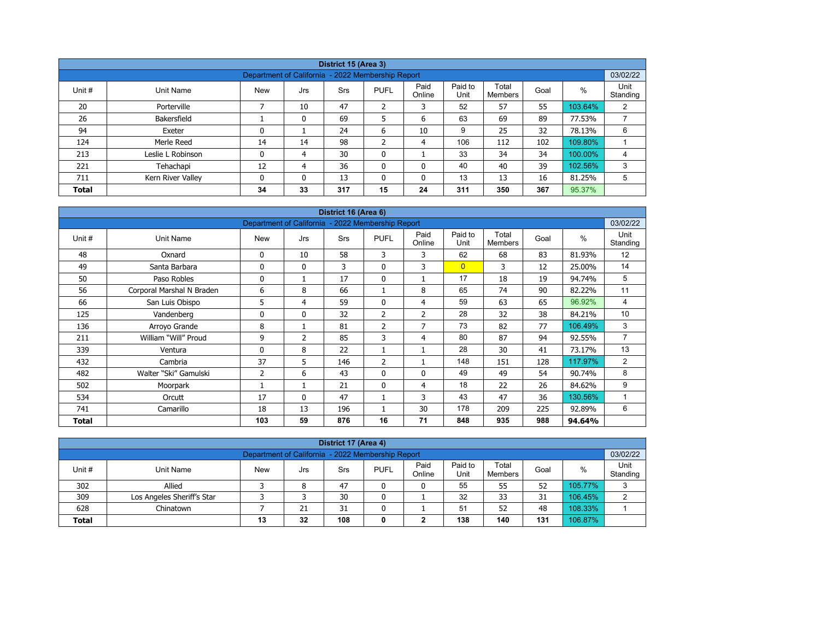|              |                   |                                                   |          | District 15 (Area 3) |                |                |                 |                  |      |         |                  |  |  |
|--------------|-------------------|---------------------------------------------------|----------|----------------------|----------------|----------------|-----------------|------------------|------|---------|------------------|--|--|
|              |                   | Department of California - 2022 Membership Report |          |                      |                |                |                 |                  |      |         | 03/02/22         |  |  |
| Unit #       | Unit Name         | <b>New</b>                                        | Jrs      | Srs                  | <b>PUFL</b>    | Paid<br>Online | Paid to<br>Unit | Total<br>Members | Goal | $\%$    | Unit<br>Standing |  |  |
| 20           | Porterville       |                                                   | 10       | 47                   | $\overline{2}$ | 3              | 52              | 57               | 55   | 103.64% | 2                |  |  |
| 26           | Bakersfield       |                                                   | 0        | 69                   | 5              | 6              | 63              | 69               | 89   | 77.53%  |                  |  |  |
| 94           | Exeter            | 0                                                 |          | 24                   | 6              | 10             | 9               | 25               | 32   | 78.13%  | 6                |  |  |
| 124          | Merle Reed        | 14                                                | 14       | 98                   | h              | 4              | 106             | 112              | 102  | 109.80% |                  |  |  |
| 213          | Leslie L Robinson | 0                                                 | 4        | 30                   | $\mathbf 0$    |                | 33              | 34               | 34   | 100.00% | 4                |  |  |
| 221          | Tehachapi         | 12                                                | 4        | 36                   | $\mathbf{0}$   | 0              | 40              | 40               | 39   | 102.56% | 3                |  |  |
| 711          | Kern River Valley | 0                                                 | $\Omega$ | 13                   | $\mathbf{0}$   | 0              | 13              | 13               | 16   | 81.25%  | 5                |  |  |
| <b>Total</b> |                   | 34                                                | 33       | 317                  | 15             | 24             | 311             | 350              | 367  | 95.37%  |                  |  |  |

| District 16 (Area 6)<br>Department of California - 2022 Membership Report |                           |            |              |     |                |                |                 |                         |      |         |                  |  |  |
|---------------------------------------------------------------------------|---------------------------|------------|--------------|-----|----------------|----------------|-----------------|-------------------------|------|---------|------------------|--|--|
|                                                                           |                           |            |              |     |                |                |                 |                         |      |         | 03/02/22         |  |  |
| Unit #                                                                    | Unit Name                 | <b>New</b> | Jrs          | Srs | <b>PUFL</b>    | Paid<br>Online | Paid to<br>Unit | Total<br><b>Members</b> | Goal | $\%$    | Unit<br>Standing |  |  |
| 48                                                                        | Oxnard                    | 0          | 10           | 58  | 3              | 3              | 62              | 68                      | 83   | 81.93%  | 12               |  |  |
| 49                                                                        | Santa Barbara             | 0          | $\mathbf{0}$ | 3   | $\mathbf{0}$   | 3              | $\overline{0}$  | 3                       | 12   | 25.00%  | 14               |  |  |
| 50                                                                        | Paso Robles               | 0          | 1            | 17  | $\mathbf 0$    |                | 17              | 18                      | 19   | 94.74%  | 5                |  |  |
| 56                                                                        | Corporal Marshal N Braden | 6          | 8            | 66  |                | 8              | 65              | 74                      | 90   | 82.22%  | 11               |  |  |
| 66                                                                        | San Luis Obispo           | 5          | 4            | 59  | $\mathbf{0}$   | 4              | 59              | 63                      | 65   | 96.92%  | 4                |  |  |
| 125                                                                       | Vandenberg                | 0          | $\mathbf{0}$ | 32  | 2              | $\overline{2}$ | 28              | 32                      | 38   | 84.21%  | 10               |  |  |
| 136                                                                       | Arroyo Grande             | 8          | 1            | 81  | $\overline{2}$ | 7              | 73              | 82                      | 77   | 106.49% | 3                |  |  |
| 211                                                                       | William "Will" Proud      | 9          | 2            | 85  | 3              | 4              | 80              | 87                      | 94   | 92.55%  | $\overline{7}$   |  |  |
| 339                                                                       | Ventura                   | 0          | 8            | 22  |                |                | 28              | 30                      | 41   | 73.17%  | 13               |  |  |
| 432                                                                       | Cambria                   | 37         | 5            | 146 | $\overline{2}$ |                | 148             | 151                     | 128  | 117.97% | 2                |  |  |
| 482                                                                       | Walter "Ski" Gamulski     | 2          | 6            | 43  | $\mathbf{0}$   | $\Omega$       | 49              | 49                      | 54   | 90.74%  | 8                |  |  |
| 502                                                                       | Moorpark                  |            | 1            | 21  | $\mathbf{0}$   | 4              | 18              | 22                      | 26   | 84.62%  | 9                |  |  |
| 534                                                                       | Orcutt                    | 17         | $\mathbf{0}$ | 47  |                | 3              | 43              | 47                      | 36   | 130.56% |                  |  |  |
| 741                                                                       | Camarillo                 | 18         | 13           | 196 |                | 30             | 178             | 209                     | 225  | 92.89%  | 6                |  |  |
| <b>Total</b>                                                              |                           | 103        | 59           | 876 | 16             | 71             | 848             | 935                     | 988  | 94.64%  |                  |  |  |

| District 17 (Area 4)                                                                                                                                     |                                                               |  |    |    |   |   |    |    |    |         |   |  |  |  |
|----------------------------------------------------------------------------------------------------------------------------------------------------------|---------------------------------------------------------------|--|----|----|---|---|----|----|----|---------|---|--|--|--|
|                                                                                                                                                          | 03/02/22<br>Department of California - 2022 Membership Report |  |    |    |   |   |    |    |    |         |   |  |  |  |
| Paid to<br>Paid<br>Unit<br>Total<br>%<br>Unit #<br><b>PUFL</b><br><b>New</b><br>Goal<br>Unit Name<br>Srs<br>Jrs<br>Unit<br>Standing<br>Online<br>Members |                                                               |  |    |    |   |   |    |    |    |         |   |  |  |  |
| 302                                                                                                                                                      | Allied                                                        |  | 8  | 47 |   | 0 | 55 | 55 | 52 | 105.77% | ີ |  |  |  |
| 309                                                                                                                                                      | Los Angeles Sheriff's Star                                    |  |    | 30 |   |   | 32 | 33 | 31 | 106.45% |   |  |  |  |
| 628                                                                                                                                                      | Chinatown                                                     |  | 21 | 31 | 0 |   | 51 | 52 | 48 | 108.33% |   |  |  |  |
| 108<br>138<br>106.87%<br>32<br>140<br>131<br><b>Total</b><br>13<br>◠<br>0                                                                                |                                                               |  |    |    |   |   |    |    |    |         |   |  |  |  |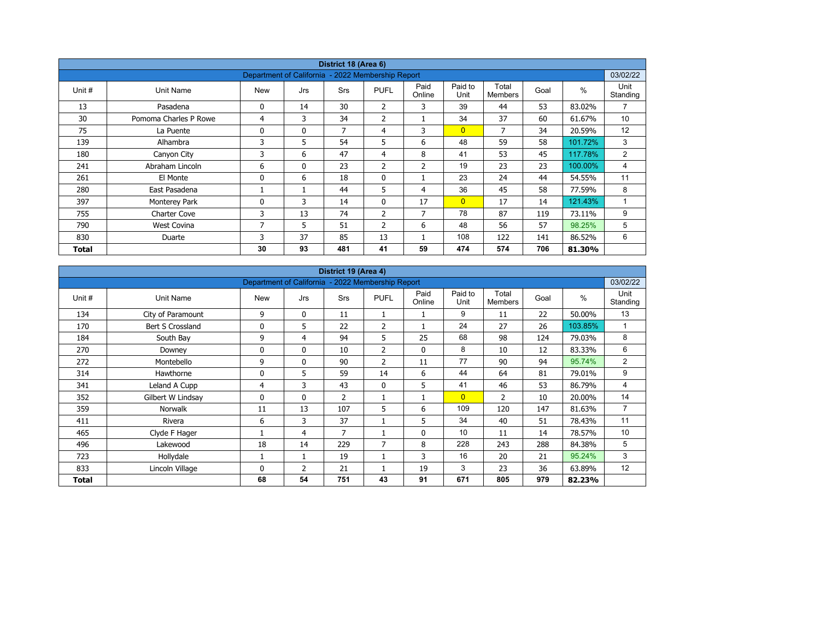| District 18 (Area 6) |                       |                                                   |              |            |                |                |                 |                         |      |         |                  |  |  |
|----------------------|-----------------------|---------------------------------------------------|--------------|------------|----------------|----------------|-----------------|-------------------------|------|---------|------------------|--|--|
|                      |                       | Department of California - 2022 Membership Report |              |            |                |                |                 |                         |      |         | 03/02/22         |  |  |
| Unit #               | Unit Name             | <b>New</b>                                        | Jrs          | <b>Srs</b> | <b>PUFL</b>    | Paid<br>Online | Paid to<br>Unit | Total<br><b>Members</b> | Goal | $\%$    | Unit<br>Standing |  |  |
| 13                   | Pasadena              | 0                                                 | 14           | 30         | $\overline{2}$ | 3              | 39              | 44                      | 53   | 83.02%  | $\overline{7}$   |  |  |
| 30                   | Pomoma Charles P Rowe | 4                                                 | 3            | 34         | $\overline{2}$ |                | 34              | 37                      | 60   | 61.67%  | 10 <sup>°</sup>  |  |  |
| 75                   | La Puente             | 0                                                 | $\mathbf{0}$ | 7          | 4              | 3              | $\overline{0}$  | 7                       | 34   | 20.59%  | 12               |  |  |
| 139                  | Alhambra              | 3                                                 | 5            | 54         | 5              | 6              | 48              | 59                      | 58   | 101.72% | 3                |  |  |
| 180                  | Canyon City           | 3                                                 | 6            | 47         | 4              | 8              | 41              | 53                      | 45   | 117.78% | 2                |  |  |
| 241                  | Abraham Lincoln       | 6                                                 | $\mathbf{0}$ | 23         | 2              | $\overline{2}$ | 19              | 23                      | 23   | 100.00% | 4                |  |  |
| 261                  | El Monte              | 0                                                 | 6            | 18         | $\mathbf 0$    |                | 23              | 24                      | 44   | 54.55%  | 11               |  |  |
| 280                  | East Pasadena         |                                                   |              | 44         | 5              | 4              | 36              | 45                      | 58   | 77.59%  | 8                |  |  |
| 397                  | Monterey Park         | 0                                                 | 3            | 14         | $\mathbf{0}$   | 17             | $\overline{0}$  | 17                      | 14   | 121.43% | $\mathbf{1}$     |  |  |
| 755                  | <b>Charter Cove</b>   | 3                                                 | 13           | 74         | $\overline{2}$ | $\overline{7}$ | 78              | 87                      | 119  | 73.11%  | 9                |  |  |
| 790                  | West Covina           | 7                                                 | 5            | 51         | $\overline{2}$ | 6              | 48              | 56                      | 57   | 98.25%  | 5                |  |  |
| 830                  | Duarte                | 3                                                 | 37           | 85         | 13             |                | 108             | 122                     | 141  | 86.52%  | 6                |  |  |
| Total                |                       | 30                                                | 93           | 481        | 41             | 59             | 474             | 574                     | 706  | 81.30%  |                  |  |  |

| District 19 (Area 4) |                   |                                                   |                |                |                |                |                 |                         |      |         |                  |  |  |
|----------------------|-------------------|---------------------------------------------------|----------------|----------------|----------------|----------------|-----------------|-------------------------|------|---------|------------------|--|--|
|                      |                   | Department of California - 2022 Membership Report |                |                |                |                |                 |                         |      |         | 03/02/22         |  |  |
| Unit #               | Unit Name         | <b>New</b>                                        | Jrs            | Srs            | <b>PUFL</b>    | Paid<br>Online | Paid to<br>Unit | Total<br><b>Members</b> | Goal | $\%$    | Unit<br>Standing |  |  |
| 134                  | City of Paramount | 9                                                 | 0              | 11             |                |                | 9               | 11                      | 22   | 50.00%  | 13               |  |  |
| 170                  | Bert S Crossland  | $\Omega$                                          | 5              | 22             | 2              |                | 24              | 27                      | 26   | 103.85% | $\mathbf{1}$     |  |  |
| 184                  | South Bay         | 9                                                 | 4              | 94             | 5              | 25             | 68              | 98                      | 124  | 79.03%  | 8                |  |  |
| 270                  | Downey            | 0                                                 | $\mathbf{0}$   | 10             | $\overline{2}$ | $\Omega$       | 8               | 10                      | 12   | 83.33%  | 6                |  |  |
| 272                  | Montebello        | 9                                                 | $\mathbf{0}$   | 90             | $\overline{2}$ | 11             | 77              | 90                      | 94   | 95.74%  | $\overline{2}$   |  |  |
| 314                  | Hawthorne         | 0                                                 | 5              | 59             | 14             | 6              | 44              | 64                      | 81   | 79.01%  | 9                |  |  |
| 341                  | Leland A Cupp     | 4                                                 | 3              | 43             | $\mathbf{0}$   | 5              | 41              | 46                      | 53   | 86.79%  | 4                |  |  |
| 352                  | Gilbert W Lindsay | 0                                                 | $\mathbf{0}$   | $\overline{2}$ | 1              | 1              | $\overline{0}$  | 2                       | 10   | 20.00%  | 14               |  |  |
| 359                  | <b>Norwalk</b>    | 11                                                | 13             | 107            | 5              | 6              | 109             | 120                     | 147  | 81.63%  | $\overline{7}$   |  |  |
| 411                  | Rivera            | 6                                                 | 3              | 37             |                | 5              | 34              | 40                      | 51   | 78.43%  | 11               |  |  |
| 465                  | Clyde F Hager     |                                                   | 4              | 7              | $\mathbf{1}$   | 0              | 10              | 11                      | 14   | 78.57%  | 10               |  |  |
| 496                  | Lakewood          | 18                                                | 14             | 229            | 7              | 8              | 228             | 243                     | 288  | 84.38%  | 5                |  |  |
| 723                  | Hollydale         |                                                   |                | 19             | $\mathbf{1}$   | 3              | 16              | 20                      | 21   | 95.24%  | 3                |  |  |
| 833                  | Lincoln Village   | $\Omega$                                          | $\overline{2}$ | 21             |                | 19             | 3               | 23                      | 36   | 63.89%  | 12               |  |  |
| Total                |                   | 68                                                | 54             | 751            | 43             | 91             | 671             | 805                     | 979  | 82.23%  |                  |  |  |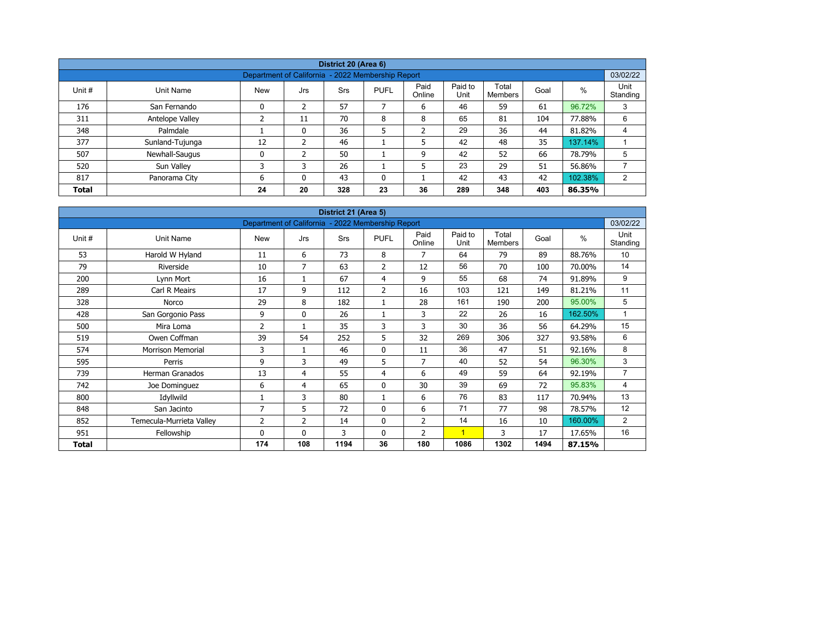| District 20 (Area 6)                                                       |                                                               |            |               |     |             |                |                 |                  |      |         |                  |  |  |  |  |
|----------------------------------------------------------------------------|---------------------------------------------------------------|------------|---------------|-----|-------------|----------------|-----------------|------------------|------|---------|------------------|--|--|--|--|
|                                                                            | 03/02/22<br>Department of California - 2022 Membership Report |            |               |     |             |                |                 |                  |      |         |                  |  |  |  |  |
| Unit #                                                                     | Unit Name                                                     | <b>New</b> | Jrs           | Srs | <b>PUFL</b> | Paid<br>Online | Paid to<br>Unit | Total<br>Members | Goal | $\%$    | Unit<br>Standing |  |  |  |  |
| 176                                                                        | San Fernando                                                  | 0          | 2             | 57  |             | 6              | 46              | 59               | 61   | 96.72%  | 3                |  |  |  |  |
| 311                                                                        | Antelope Valley                                               |            | 11            | 70  | 8           | 8              | 65              | 81               | 104  | 77.88%  | 6                |  |  |  |  |
| 348                                                                        | Palmdale                                                      |            | 0             | 36  | 5           | ำ<br>∠         | 29              | 36               | 44   | 81.82%  | 4                |  |  |  |  |
| 377                                                                        | Sunland-Tujunga                                               | 12         | $\mathcal{P}$ | 46  |             | 5              | 42              | 48               | 35   | 137.14% |                  |  |  |  |  |
| 507                                                                        | Newhall-Saugus                                                | 0          |               | 50  |             | 9              | 42              | 52               | 66   | 78.79%  | 5                |  |  |  |  |
| 520                                                                        | Sun Valley                                                    | 3          | 3             | 26  |             | 5              | 23              | 29               | 51   | 56.86%  |                  |  |  |  |  |
| 817                                                                        | Panorama City                                                 | 6          | $\Omega$      | 43  | 0           |                | 42              | 43               | 42   | 102.38% | 2                |  |  |  |  |
| 20<br>328<br>23<br>289<br>36<br>348<br>403<br>24<br>86.35%<br><b>Total</b> |                                                               |            |               |     |             |                |                 |                  |      |         |                  |  |  |  |  |

| District 21 (Area 5) |                          |                                                   |              |            |                |                |                 |                         |      |               |                  |  |  |
|----------------------|--------------------------|---------------------------------------------------|--------------|------------|----------------|----------------|-----------------|-------------------------|------|---------------|------------------|--|--|
|                      |                          | Department of California - 2022 Membership Report |              |            |                |                |                 |                         |      |               | 03/02/22         |  |  |
| Unit #               | <b>Unit Name</b>         | <b>New</b>                                        | Jrs          | <b>Srs</b> | <b>PUFL</b>    | Paid<br>Online | Paid to<br>Unit | Total<br><b>Members</b> | Goal | $\frac{0}{0}$ | Unit<br>Standing |  |  |
| 53                   | Harold W Hyland          | 11                                                | 6            | 73         | 8              | 7              | 64              | 79                      | 89   | 88.76%        | 10               |  |  |
| 79                   | Riverside                | 10                                                | 7            | 63         | 2              | 12             | 56              | 70                      | 100  | 70.00%        | 14               |  |  |
| 200                  | Lynn Mort                | 16                                                |              | 67         | 4              | 9              | 55              | 68                      | 74   | 91.89%        | 9                |  |  |
| 289                  | Carl R Meairs            | 17                                                | 9            | 112        | $\overline{2}$ | 16             | 103             | 121                     | 149  | 81.21%        | 11               |  |  |
| 328                  | Norco                    | 29                                                | 8            | 182        | 1              | 28             | 161             | 190                     | 200  | 95.00%        | 5                |  |  |
| 428                  | San Gorgonio Pass        | 9                                                 | $\mathbf{0}$ | 26         | 1              | 3              | 22              | 26                      | 16   | 162.50%       | 1                |  |  |
| 500                  | Mira Loma                | $\overline{2}$                                    |              | 35         | 3              | 3              | 30              | 36                      | 56   | 64.29%        | 15               |  |  |
| 519                  | Owen Coffman             | 39                                                | 54           | 252        | 5              | 32             | 269             | 306                     | 327  | 93.58%        | 6                |  |  |
| 574                  | <b>Morrison Memorial</b> | 3                                                 |              | 46         | $\mathbf 0$    | 11             | 36              | 47                      | 51   | 92.16%        | 8                |  |  |
| 595                  | Perris                   | 9                                                 | 3            | 49         | 5              | $\overline{7}$ | 40              | 52                      | 54   | 96.30%        | 3                |  |  |
| 739                  | <b>Herman Granados</b>   | 13                                                | 4            | 55         | 4              | 6              | 49              | 59                      | 64   | 92.19%        | $\overline{7}$   |  |  |
| 742                  | Joe Dominguez            | 6                                                 | 4            | 65         | $\mathbf 0$    | 30             | 39              | 69                      | 72   | 95.83%        | 4                |  |  |
| 800                  | Idyllwild                |                                                   | 3            | 80         | $\mathbf{1}$   | 6              | 76              | 83                      | 117  | 70.94%        | 13               |  |  |
| 848                  | San Jacinto              | $\overline{7}$                                    | 5            | 72         | $\mathbf 0$    | 6              | 71              | 77                      | 98   | 78.57%        | 12               |  |  |
| 852                  | Temecula-Murrieta Valley | 2                                                 | 2            | 14         | 0              | $\overline{2}$ | 14              | 16                      | 10   | 160.00%       | $\overline{2}$   |  |  |
| 951                  | Fellowship               | $\mathbf{0}$                                      | $\mathbf{0}$ | 3          | $\mathbf{0}$   | $\overline{2}$ | 1               | 3                       | 17   | 17.65%        | 16               |  |  |
| Total                |                          | 174                                               | 108          | 1194       | 36             | 180            | 1086            | 1302                    | 1494 | 87.15%        |                  |  |  |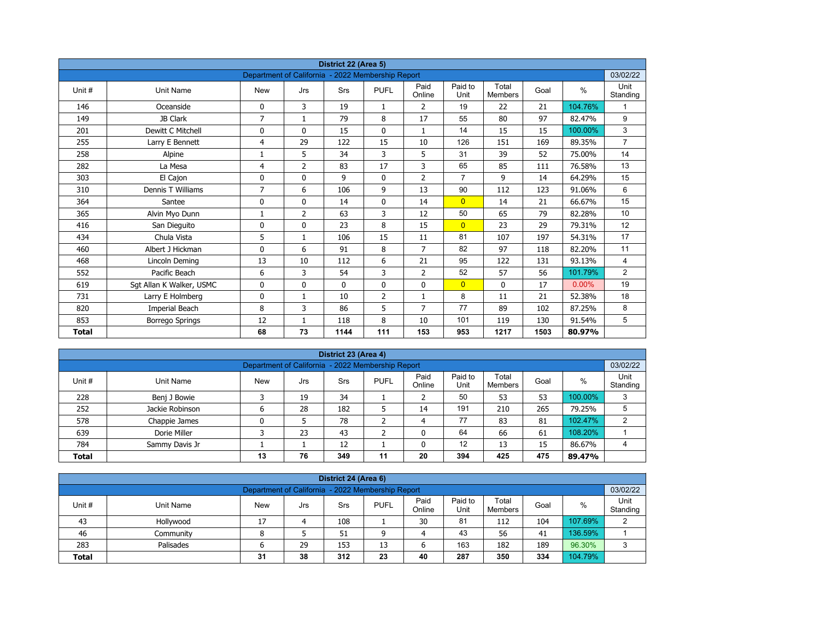| District 22 (Area 5) |                          |                                                   |                |             |                |                |                 |                         |      |          |                  |  |  |
|----------------------|--------------------------|---------------------------------------------------|----------------|-------------|----------------|----------------|-----------------|-------------------------|------|----------|------------------|--|--|
|                      |                          | Department of California - 2022 Membership Report |                |             |                |                |                 |                         |      |          | 03/02/22         |  |  |
| Unit#                | <b>Unit Name</b>         | <b>New</b>                                        | Jrs            | Srs         | <b>PUFL</b>    | Paid<br>Online | Paid to<br>Unit | Total<br><b>Members</b> | Goal | $\%$     | Unit<br>Standing |  |  |
| 146                  | Oceanside                | 0                                                 | 3              | 19          | $\mathbf{1}$   | 2              | 19              | 22                      | 21   | 104.76%  | 1                |  |  |
| 149                  | JB Clark                 | $\overline{7}$                                    | $\mathbf{1}$   | 79          | 8              | 17             | 55              | 80                      | 97   | 82.47%   | 9                |  |  |
| 201                  | Dewitt C Mitchell        | 0                                                 | $\mathbf{0}$   | 15          | $\mathbf{0}$   | $\mathbf{1}$   | 14              | 15                      | 15   | 100.00%  | 3                |  |  |
| 255                  | Larry E Bennett          | 4                                                 | 29             | 122         | 15             | 10             | 126             | 151                     | 169  | 89.35%   | $\overline{7}$   |  |  |
| 258                  | Alpine                   | 1                                                 | 5              | 34          | 3              | 5              | 31              | 39                      | 52   | 75.00%   | 14               |  |  |
| 282                  | La Mesa                  | 4                                                 | $\overline{2}$ | 83          | 17             | 3              | 65              | 85                      | 111  | 76.58%   | 13               |  |  |
| 303                  | El Cajon                 | 0                                                 | 0              | 9           | $\mathbf 0$    | $\overline{2}$ | $\overline{7}$  | 9                       | 14   | 64.29%   | 15               |  |  |
| 310                  | Dennis T Williams        | 7                                                 | 6              | 106         | 9              | 13             | 90              | 112                     | 123  | 91.06%   | 6                |  |  |
| 364                  | Santee                   | 0                                                 | 0              | 14          | $\mathbf 0$    | 14             | $\overline{0}$  | 14                      | 21   | 66.67%   | 15               |  |  |
| 365                  | Alvin Myo Dunn           | 1                                                 | $\overline{2}$ | 63          | 3              | 12             | 50              | 65                      | 79   | 82.28%   | 10               |  |  |
| 416                  | San Dieguito             | 0                                                 | $\Omega$       | 23          | 8              | 15             | $\overline{0}$  | 23                      | 29   | 79.31%   | 12               |  |  |
| 434                  | Chula Vista              | 5                                                 | $\mathbf{1}$   | 106         | 15             | 11             | 81              | 107                     | 197  | 54.31%   | 17               |  |  |
| 460                  | Albert J Hickman         | 0                                                 | 6              | 91          | 8              | $\overline{7}$ | 82              | 97                      | 118  | 82.20%   | 11               |  |  |
| 468                  | Lincoln Deming           | 13                                                | 10             | 112         | 6              | 21             | 95              | 122                     | 131  | 93.13%   | $\overline{4}$   |  |  |
| 552                  | Pacific Beach            | 6                                                 | 3              | 54          | 3              | $\overline{2}$ | 52              | 57                      | 56   | 101.79%  | $\overline{2}$   |  |  |
| 619                  | Sgt Allan K Walker, USMC | 0                                                 | 0              | $\mathbf 0$ | $\mathbf 0$    | 0              | $\overline{0}$  | 0                       | 17   | $0.00\%$ | 19               |  |  |
| 731                  | Larry E Holmberg         | 0                                                 | $\mathbf{1}$   | 10          | $\overline{2}$ | $\mathbf{1}$   | 8               | 11                      | 21   | 52.38%   | 18               |  |  |
| 820                  | Imperial Beach           | 8                                                 | 3              | 86          | 5              | 7              | 77              | 89                      | 102  | 87.25%   | 8                |  |  |
| 853                  | <b>Borrego Springs</b>   | 12                                                | 1              | 118         | 8              | 10             | 101             | 119                     | 130  | 91.54%   | 5                |  |  |
| <b>Total</b>         |                          | 68                                                | 73             | 1144        | 111            | 153            | 953             | 1217                    | 1503 | 80.97%   |                  |  |  |

| District 23 (Area 4) |                                                   |            |     |     |             |                |                 |                  |      |         |                  |  |  |  |  |
|----------------------|---------------------------------------------------|------------|-----|-----|-------------|----------------|-----------------|------------------|------|---------|------------------|--|--|--|--|
|                      | Department of California - 2022 Membership Report |            |     |     |             |                |                 |                  |      |         |                  |  |  |  |  |
| Unit#                | Unit Name                                         | <b>New</b> | Jrs | Srs | <b>PUFL</b> | Paid<br>Online | Paid to<br>Unit | Total<br>Members | Goal | %       | Unit<br>Standing |  |  |  |  |
| 228                  | Benj J Bowie                                      |            | 19  | 34  |             |                | 50              | 53               | 53   | 100.00% | 3                |  |  |  |  |
| 252                  | Jackie Robinson                                   | 0          | 28  | 182 | ∍           | 14             | 191             | 210              | 265  | 79.25%  | 5                |  |  |  |  |
| 578                  | Chappie James                                     | 0          |     | 78  |             | 4              | 77              | 83               | 81   | 102.47% | C                |  |  |  |  |
| 639                  | Dorie Miller                                      |            | 23  | 43  | ∍           |                | 64              | 66               | 61   | 108.20% |                  |  |  |  |  |
| 784                  | Sammy Davis Jr                                    |            |     | 12  |             | 0              | 12              | 13               | 15   | 86.67%  | 4                |  |  |  |  |
| <b>Total</b>         |                                                   | 13         | 76  | 349 | 11          | 20             | 394             | 425              | 475  | 89.47%  |                  |  |  |  |  |

| District 24 (Area 6)                                                                                                                             |                                                               |    |  |     |   |    |    |     |     |         |   |  |  |  |  |
|--------------------------------------------------------------------------------------------------------------------------------------------------|---------------------------------------------------------------|----|--|-----|---|----|----|-----|-----|---------|---|--|--|--|--|
|                                                                                                                                                  | 03/02/22<br>Department of California - 2022 Membership Report |    |  |     |   |    |    |     |     |         |   |  |  |  |  |
| Paid<br>Paid to<br>Total<br>Unit #<br><b>PUFL</b><br>%<br>Goal<br>Unit Name<br><b>New</b><br>Srs<br>Jrs<br>Standing<br>Online<br>Unit<br>Members |                                                               |    |  |     |   |    |    |     |     |         |   |  |  |  |  |
| 43                                                                                                                                               | Hollywood                                                     | 17 |  | 108 |   | 30 | 81 | 112 | 104 | 107.69% | C |  |  |  |  |
| 46                                                                                                                                               | Community                                                     | o  |  | 51  | a | 4  | 43 | 56  | 41  | 136.59% |   |  |  |  |  |
| 163<br>96.30%<br>283<br>189<br>29<br>153<br>182<br>Palisades<br>13<br>6<br>ь                                                                     |                                                               |    |  |     |   |    |    |     |     |         |   |  |  |  |  |
| 287<br>104.79%<br>38<br>312<br>350<br>334<br>23<br>40<br>31<br><b>Total</b>                                                                      |                                                               |    |  |     |   |    |    |     |     |         |   |  |  |  |  |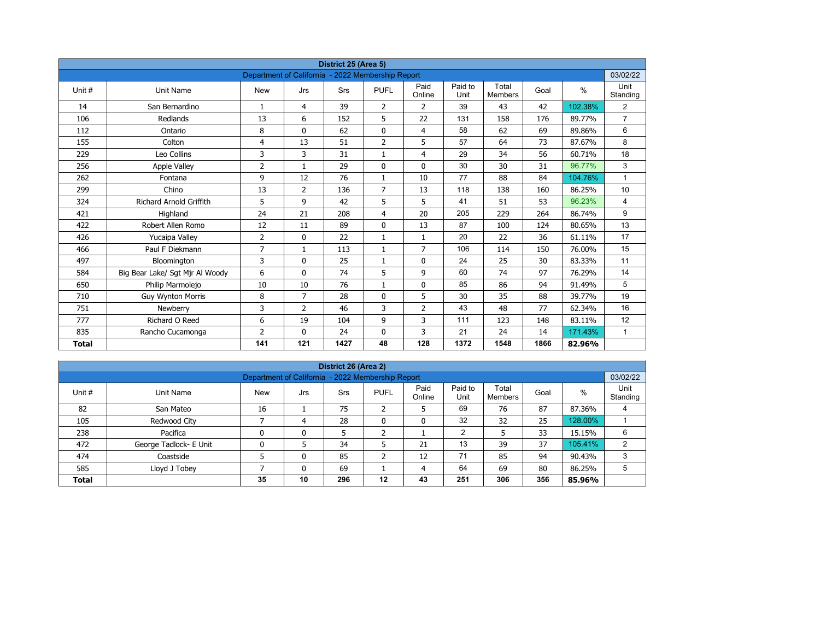| District 25 (Area 5)<br>Department of California - 2022 Membership Report |                                 |                |                |            |                |                |                 |                         |      |         |                  |  |  |
|---------------------------------------------------------------------------|---------------------------------|----------------|----------------|------------|----------------|----------------|-----------------|-------------------------|------|---------|------------------|--|--|
|                                                                           |                                 |                |                |            |                |                |                 |                         |      |         | 03/02/22         |  |  |
| Unit#                                                                     | Unit Name                       | <b>New</b>     | Jrs            | <b>Srs</b> | <b>PUFL</b>    | Paid<br>Online | Paid to<br>Unit | Total<br><b>Members</b> | Goal | $\%$    | Unit<br>Standing |  |  |
| 14                                                                        | San Bernardino                  | $\mathbf{1}$   | 4              | 39         | $\overline{2}$ | $\overline{2}$ | 39              | 43                      | 42   | 102.38% | $\overline{2}$   |  |  |
| 106                                                                       | Redlands                        | 13             | 6              | 152        | 5              | 22             | 131             | 158                     | 176  | 89.77%  | $\overline{7}$   |  |  |
| 112                                                                       | Ontario                         | 8              | $\Omega$       | 62         | $\mathbf 0$    | $\overline{4}$ | 58              | 62                      | 69   | 89.86%  | 6                |  |  |
| 155                                                                       | Colton                          | 4              | 13             | 51         | $\overline{2}$ | 5              | 57              | 64                      | 73   | 87.67%  | 8                |  |  |
| 229                                                                       | Leo Collins                     | 3              | 3              | 31         | $\mathbf{1}$   | $\overline{4}$ | 29              | 34                      | 56   | 60.71%  | 18               |  |  |
| 256                                                                       | <b>Apple Valley</b>             | $\overline{2}$ | $\mathbf{1}$   | 29         | $\mathbf{0}$   | $\mathbf{0}$   | 30              | 30                      | 31   | 96.77%  | 3                |  |  |
| 262                                                                       | Fontana                         | 9              | 12             | 76         | $\mathbf{1}$   | 10             | 77              | 88                      | 84   | 104.76% | $\mathbf{1}$     |  |  |
| 299                                                                       | Chino                           | 13             | $\overline{2}$ | 136        | $\overline{7}$ | 13             | 118             | 138                     | 160  | 86.25%  | 10               |  |  |
| 324                                                                       | <b>Richard Arnold Griffith</b>  | 5              | 9              | 42         | 5              | 5              | 41              | 51                      | 53   | 96.23%  | 4                |  |  |
| 421                                                                       | Highland                        | 24             | 21             | 208        | 4              | 20             | 205             | 229                     | 264  | 86.74%  | 9                |  |  |
| 422                                                                       | Robert Allen Romo               | 12             | 11             | 89         | $\mathbf{0}$   | 13             | 87              | 100                     | 124  | 80.65%  | 13               |  |  |
| 426                                                                       | Yucaipa Valley                  | $\overline{2}$ | 0              | 22         | $\mathbf{1}$   | $\mathbf{1}$   | 20              | 22                      | 36   | 61.11%  | 17               |  |  |
| 466                                                                       | Paul F Diekmann                 | $\overline{7}$ | $\mathbf{1}$   | 113        | $\mathbf{1}$   | $\overline{7}$ | 106             | 114                     | 150  | 76.00%  | 15               |  |  |
| 497                                                                       | Bloomington                     | 3              | 0              | 25         | $\mathbf{1}$   | $\mathbf 0$    | 24              | 25                      | 30   | 83.33%  | 11               |  |  |
| 584                                                                       | Big Bear Lake/ Sgt Mjr Al Woody | 6              | $\mathbf{0}$   | 74         | 5              | 9              | 60              | 74                      | 97   | 76.29%  | 14               |  |  |
| 650                                                                       | Philip Marmolejo                | 10             | 10             | 76         | $\mathbf{1}$   | $\mathbf 0$    | 85              | 86                      | 94   | 91.49%  | 5                |  |  |
| 710                                                                       | <b>Guy Wynton Morris</b>        | 8              | $\overline{7}$ | 28         | $\mathbf{0}$   | 5              | 30              | 35                      | 88   | 39.77%  | 19               |  |  |
| 751                                                                       | Newberry                        | 3              | $\overline{2}$ | 46         | 3              | $\overline{2}$ | 43              | 48                      | 77   | 62.34%  | 16               |  |  |
| 777                                                                       | Richard O Reed                  | 6              | 19             | 104        | 9              | 3              | 111             | 123                     | 148  | 83.11%  | 12               |  |  |
| 835                                                                       | Rancho Cucamonga                | $\overline{2}$ | $\mathbf{0}$   | 24         | 0              | 3              | 21              | 24                      | 14   | 171.43% | $\mathbf{1}$     |  |  |
| <b>Total</b>                                                              |                                 | 141            | 121            | 1427       | 48             | 128            | 1372            | 1548                    | 1866 | 82.96%  |                  |  |  |

| District 26 (Area 2)                                                       |                                                               |            |     |     |              |                |                 |                  |      |         |                  |  |  |  |  |
|----------------------------------------------------------------------------|---------------------------------------------------------------|------------|-----|-----|--------------|----------------|-----------------|------------------|------|---------|------------------|--|--|--|--|
|                                                                            | 03/02/22<br>Department of California - 2022 Membership Report |            |     |     |              |                |                 |                  |      |         |                  |  |  |  |  |
| Unit#                                                                      | Unit Name                                                     | <b>New</b> | Jrs | Srs | <b>PUFL</b>  | Paid<br>Online | Paid to<br>Unit | Total<br>Members | Goal | %       | Unit<br>Standing |  |  |  |  |
| 82                                                                         | San Mateo                                                     | 16         |     | 75  | h<br>ے       | 5              | 69              | 76               | 87   | 87.36%  | 4                |  |  |  |  |
| 105                                                                        | Redwood City                                                  |            | 4   | 28  | $\mathbf{0}$ | 0              | 32              | 32               | 25   | 128.00% |                  |  |  |  |  |
| 238                                                                        | Pacifica                                                      |            | 0   |     | h            |                | $\overline{2}$  | 5                | 33   | 15.15%  | 6                |  |  |  |  |
| 472                                                                        | George Tadlock- E Unit                                        | 0          |     | 34  |              | 21             | 13              | 39               | 37   | 105.41% | 2                |  |  |  |  |
| 474                                                                        | Coastside                                                     |            | 0   | 85  | ຳ<br>∠       | 12             | 71              | 85               | 94   | 90.43%  | 3                |  |  |  |  |
| 64<br>5<br>585<br>69<br>69<br>Lloyd J Tobey<br>80<br>86.25%<br>0<br>4      |                                                               |            |     |     |              |                |                 |                  |      |         |                  |  |  |  |  |
| 356<br>10<br>296<br>251<br>306<br>35<br>12<br>43<br>85.96%<br><b>Total</b> |                                                               |            |     |     |              |                |                 |                  |      |         |                  |  |  |  |  |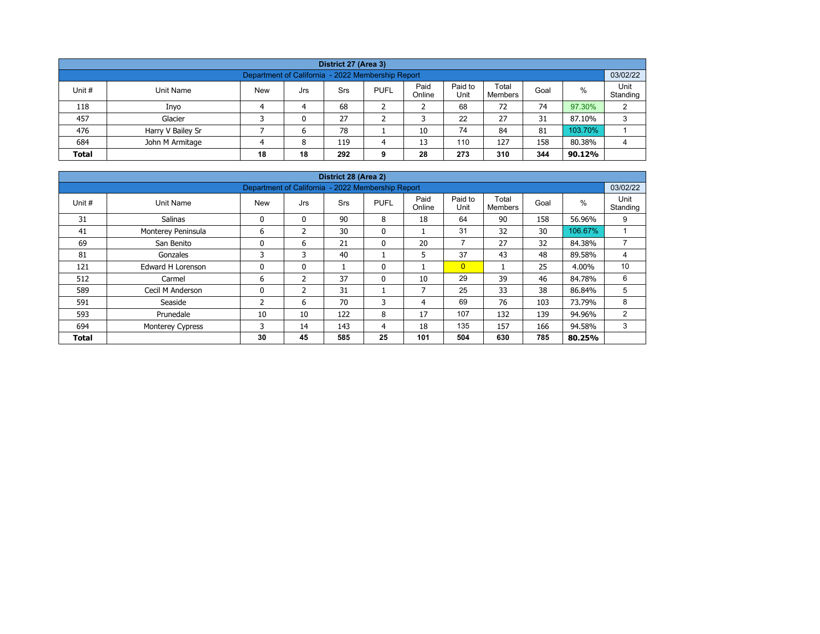| District 27 (Area 3)                                                                                                                                    |                   |  |   |     |   |    |     |     |     |         |   |  |  |  |
|---------------------------------------------------------------------------------------------------------------------------------------------------------|-------------------|--|---|-----|---|----|-----|-----|-----|---------|---|--|--|--|
| Department of California - 2022 Membership Report                                                                                                       |                   |  |   |     |   |    |     |     |     |         |   |  |  |  |
| Paid<br>Paid to<br>Total<br>%<br>Unit #<br><b>New</b><br><b>PUFL</b><br>Unit Name<br>Srs<br>Goal<br>Jrs<br>Unit<br>Online<br>Standing<br><b>Members</b> |                   |  |   |     |   |    |     |     |     |         |   |  |  |  |
| 118                                                                                                                                                     | Inyo              |  | 4 | 68  |   |    | 68  | 72  | 74  | 97.30%  | C |  |  |  |
| 457                                                                                                                                                     | Glacier           |  | 0 | 27  |   |    | 22  | 27  | 31  | 87.10%  | 3 |  |  |  |
| 476                                                                                                                                                     | Harry V Bailey Sr |  | 6 | 78  |   | 10 | 74  | 84  | 81  | 103.70% |   |  |  |  |
| 684                                                                                                                                                     | John M Armitage   |  | 8 | 119 | Δ | 13 | 110 | 127 | 158 | 80.38%  |   |  |  |  |
| 18<br>273<br>344<br>28<br>310<br><b>Total</b><br>18<br>292<br>90.12%<br>9                                                                               |                   |  |   |     |   |    |     |     |     |         |   |  |  |  |

| District 28 (Area 2) |                                                               |            |                |            |              |                |                 |                         |      |         |                  |  |  |  |  |
|----------------------|---------------------------------------------------------------|------------|----------------|------------|--------------|----------------|-----------------|-------------------------|------|---------|------------------|--|--|--|--|
|                      | 03/02/22<br>Department of California - 2022 Membership Report |            |                |            |              |                |                 |                         |      |         |                  |  |  |  |  |
| Unit #               | Unit Name                                                     | <b>New</b> | Jrs            | <b>Srs</b> | <b>PUFL</b>  | Paid<br>Online | Paid to<br>Unit | Total<br><b>Members</b> | Goal | $\%$    | Unit<br>Standing |  |  |  |  |
| 31                   | <b>Salinas</b>                                                | 0          | $\mathbf{0}$   | 90         | 8            | 18             | 64              | 90                      | 158  | 56.96%  | 9                |  |  |  |  |
| 41                   | Monterey Peninsula                                            | 6          | $\mathfrak z$  | 30         | $\mathbf{0}$ |                | 31              | 32                      | 30   | 106.67% |                  |  |  |  |  |
| 69                   | San Benito                                                    | 0          | 6              | 21         | $\mathbf{0}$ | 20             | $\overline{7}$  | 27                      | 32   | 84.38%  | $\overline{ }$   |  |  |  |  |
| 81                   | Gonzales                                                      | 3          | 3              | 40         |              | 5              | 37              | 43                      | 48   | 89.58%  | 4                |  |  |  |  |
| 121                  | <b>Edward H Lorenson</b>                                      | 0          | $\mathbf{0}$   |            | 0            |                | $\overline{0}$  |                         | 25   | 4.00%   | 10               |  |  |  |  |
| 512                  | Carmel                                                        | 6          | $\overline{2}$ | 37         | 0            | 10             | 29              | 39                      | 46   | 84.78%  | 6                |  |  |  |  |
| 589                  | Cecil M Anderson                                              | 0          | 2              | 31         |              | 7              | 25              | 33                      | 38   | 86.84%  | 5                |  |  |  |  |
| 591                  | Seaside                                                       | 2          | 6              | 70         | 3            | 4              | 69              | 76                      | 103  | 73.79%  | 8                |  |  |  |  |
| 593                  | Prunedale                                                     | 10         | 10             | 122        | 8            | 17             | 107             | 132                     | 139  | 94.96%  | 2                |  |  |  |  |
| 694                  | Monterey Cypress                                              | 3          | 14             | 143        | 4            | 18             | 135             | 157                     | 166  | 94.58%  | 3                |  |  |  |  |
| <b>Total</b>         |                                                               | 30         | 45             | 585        | 25           | 101            | 504             | 630                     | 785  | 80.25%  |                  |  |  |  |  |